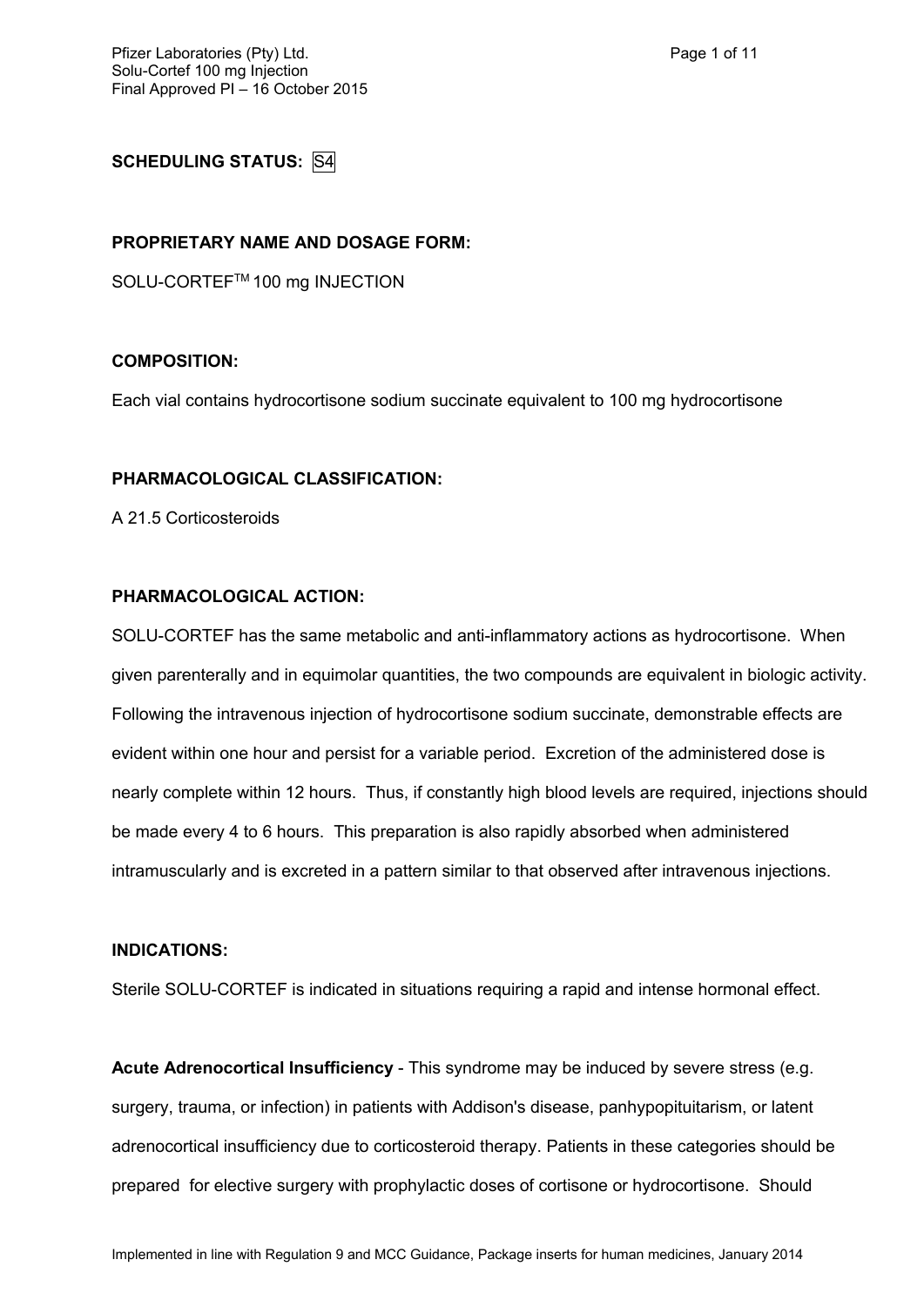# **SCHEDULING STATUS:** S4

# **PROPRIETARY NAME AND DOSAGE FORM:**

SOLU-CORTEF™ 100 mg INJECTION

#### **COMPOSITION:**

Each vial contains hydrocortisone sodium succinate equivalent to 100 mg hydrocortisone

#### **PHARMACOLOGICAL CLASSIFICATION:**

A 21.5 Corticosteroids

#### **PHARMACOLOGICAL ACTION:**

SOLU-CORTEF has the same metabolic and anti-inflammatory actions as hydrocortisone. When given parenterally and in equimolar quantities, the two compounds are equivalent in biologic activity. Following the intravenous injection of hydrocortisone sodium succinate, demonstrable effects are evident within one hour and persist for a variable period. Excretion of the administered dose is nearly complete within 12 hours. Thus, if constantly high blood levels are required, injections should be made every 4 to 6 hours. This preparation is also rapidly absorbed when administered intramuscularly and is excreted in a pattern similar to that observed after intravenous injections.

#### **INDICATIONS:**

Sterile SOLU-CORTEF is indicated in situations requiring a rapid and intense hormonal effect.

**Acute Adrenocortical Insufficiency** - This syndrome may be induced by severe stress (e.g. surgery, trauma, or infection) in patients with Addison's disease, panhypopituitarism, or latent adrenocortical insufficiency due to corticosteroid therapy. Patients in these categories should be prepared for elective surgery with prophylactic doses of cortisone or hydrocortisone. Should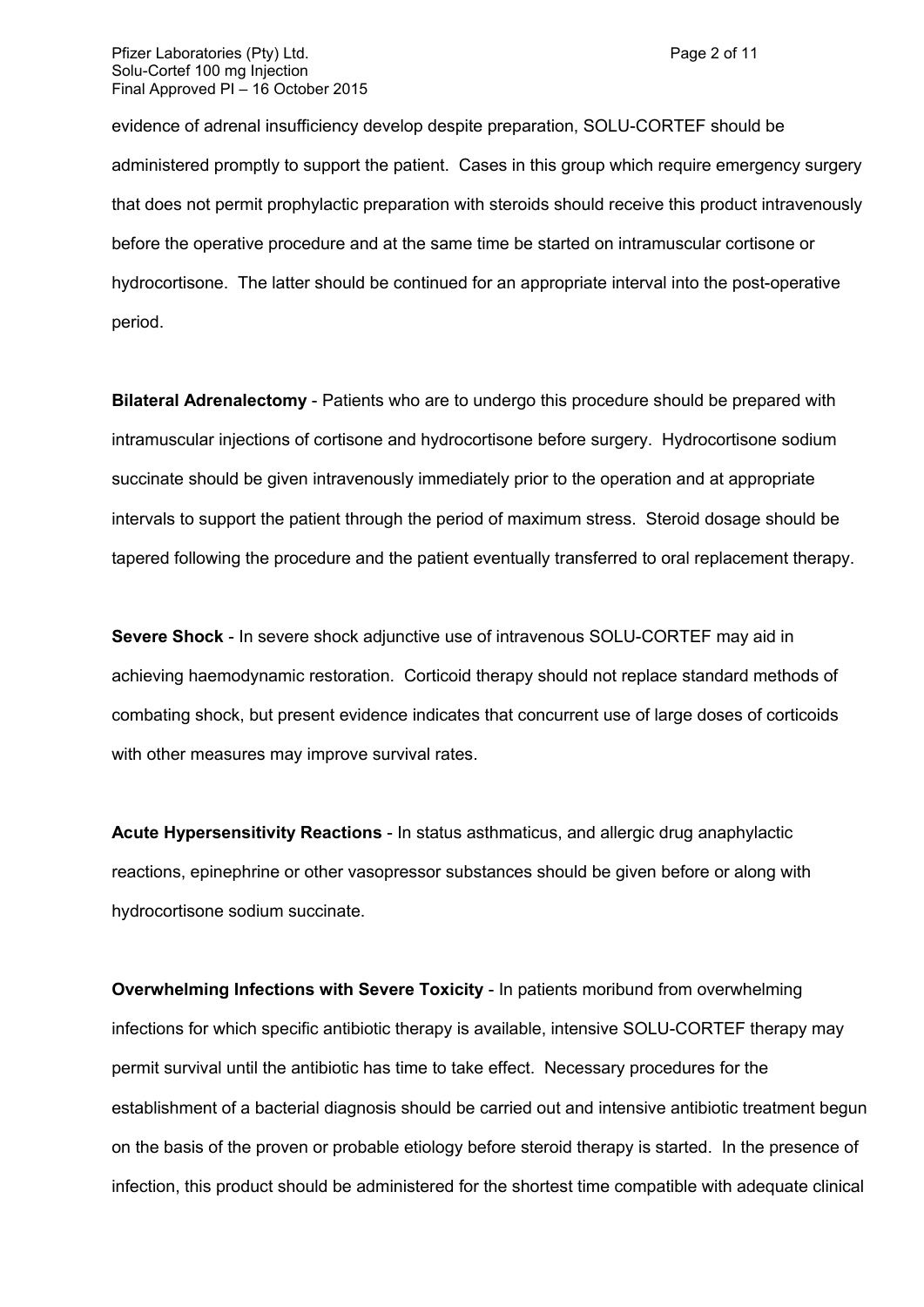#### Pfizer Laboratories (Pty) Ltd. Page 2 of 11 Solu-Cortef 100 mg Injection Final Approved PI – 16 October 2015

evidence of adrenal insufficiency develop despite preparation, SOLU-CORTEF should be administered promptly to support the patient. Cases in this group which require emergency surgery that does not permit prophylactic preparation with steroids should receive this product intravenously before the operative procedure and at the same time be started on intramuscular cortisone or hydrocortisone. The latter should be continued for an appropriate interval into the post-operative period.

**Bilateral Adrenalectomy** - Patients who are to undergo this procedure should be prepared with intramuscular injections of cortisone and hydrocortisone before surgery. Hydrocortisone sodium succinate should be given intravenously immediately prior to the operation and at appropriate intervals to support the patient through the period of maximum stress. Steroid dosage should be tapered following the procedure and the patient eventually transferred to oral replacement therapy.

**Severe Shock** - In severe shock adjunctive use of intravenous SOLU-CORTEF may aid in achieving haemodynamic restoration. Corticoid therapy should not replace standard methods of combating shock, but present evidence indicates that concurrent use of large doses of corticoids with other measures may improve survival rates.

**Acute Hypersensitivity Reactions** - In status asthmaticus, and allergic drug anaphylactic reactions, epinephrine or other vasopressor substances should be given before or along with hydrocortisone sodium succinate.

**Overwhelming Infections with Severe Toxicity** - In patients moribund from overwhelming infections for which specific antibiotic therapy is available, intensive SOLU-CORTEF therapy may permit survival until the antibiotic has time to take effect. Necessary procedures for the establishment of a bacterial diagnosis should be carried out and intensive antibiotic treatment begun on the basis of the proven or probable etiology before steroid therapy is started. In the presence of infection, this product should be administered for the shortest time compatible with adequate clinical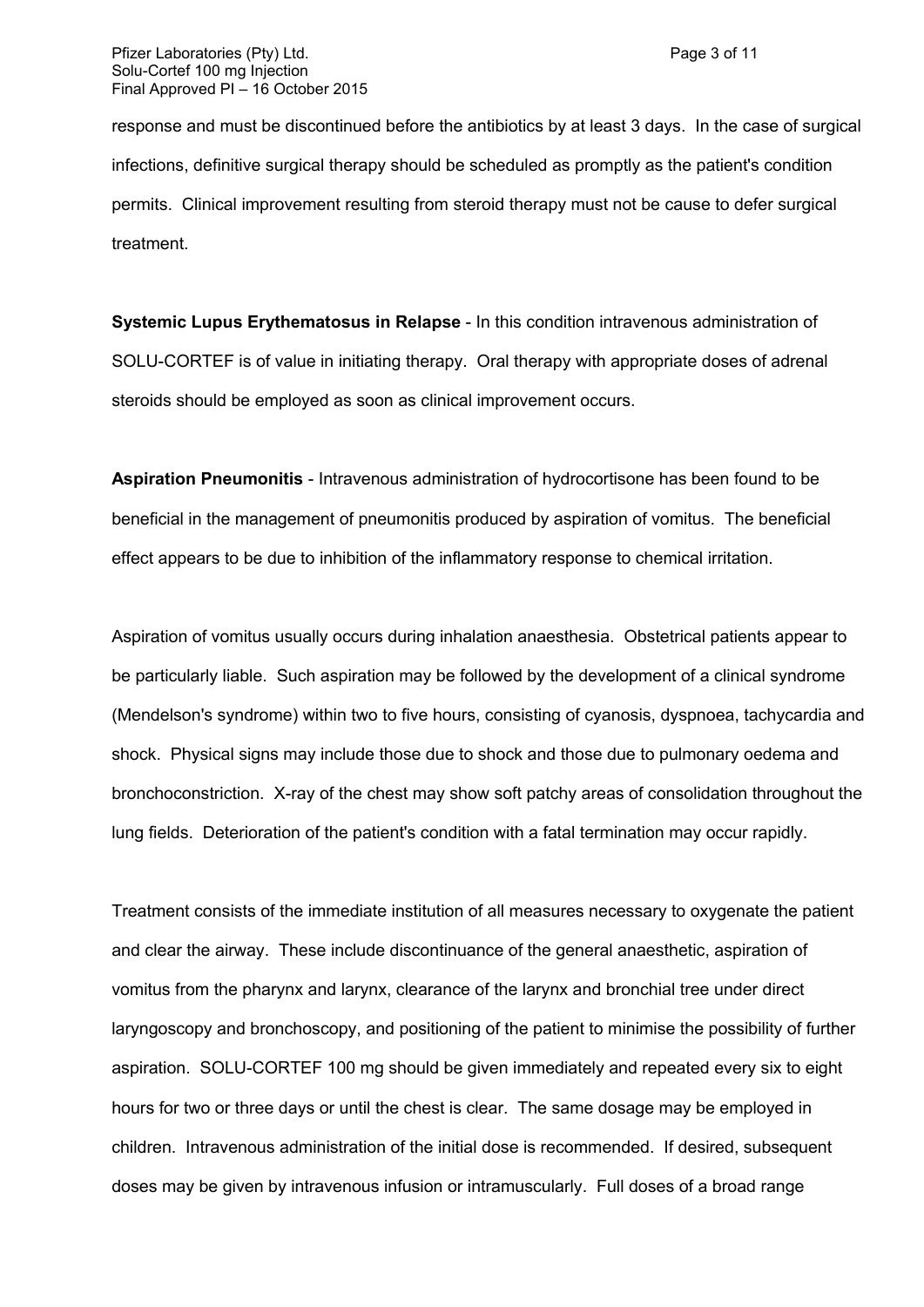response and must be discontinued before the antibiotics by at least 3 days. In the case of surgical infections, definitive surgical therapy should be scheduled as promptly as the patient's condition permits. Clinical improvement resulting from steroid therapy must not be cause to defer surgical treatment.

**Systemic Lupus Erythematosus in Relapse** - In this condition intravenous administration of SOLU-CORTEF is of value in initiating therapy. Oral therapy with appropriate doses of adrenal steroids should be employed as soon as clinical improvement occurs.

**Aspiration Pneumonitis** - Intravenous administration of hydrocortisone has been found to be beneficial in the management of pneumonitis produced by aspiration of vomitus. The beneficial effect appears to be due to inhibition of the inflammatory response to chemical irritation.

Aspiration of vomitus usually occurs during inhalation anaesthesia. Obstetrical patients appear to be particularly liable. Such aspiration may be followed by the development of a clinical syndrome (Mendelson's syndrome) within two to five hours, consisting of cyanosis, dyspnoea, tachycardia and shock. Physical signs may include those due to shock and those due to pulmonary oedema and bronchoconstriction. X-ray of the chest may show soft patchy areas of consolidation throughout the lung fields. Deterioration of the patient's condition with a fatal termination may occur rapidly.

Treatment consists of the immediate institution of all measures necessary to oxygenate the patient and clear the airway. These include discontinuance of the general anaesthetic, aspiration of vomitus from the pharynx and larynx, clearance of the larynx and bronchial tree under direct laryngoscopy and bronchoscopy, and positioning of the patient to minimise the possibility of further aspiration. SOLU-CORTEF 100 mg should be given immediately and repeated every six to eight hours for two or three days or until the chest is clear. The same dosage may be employed in children. Intravenous administration of the initial dose is recommended. If desired, subsequent doses may be given by intravenous infusion or intramuscularly. Full doses of a broad range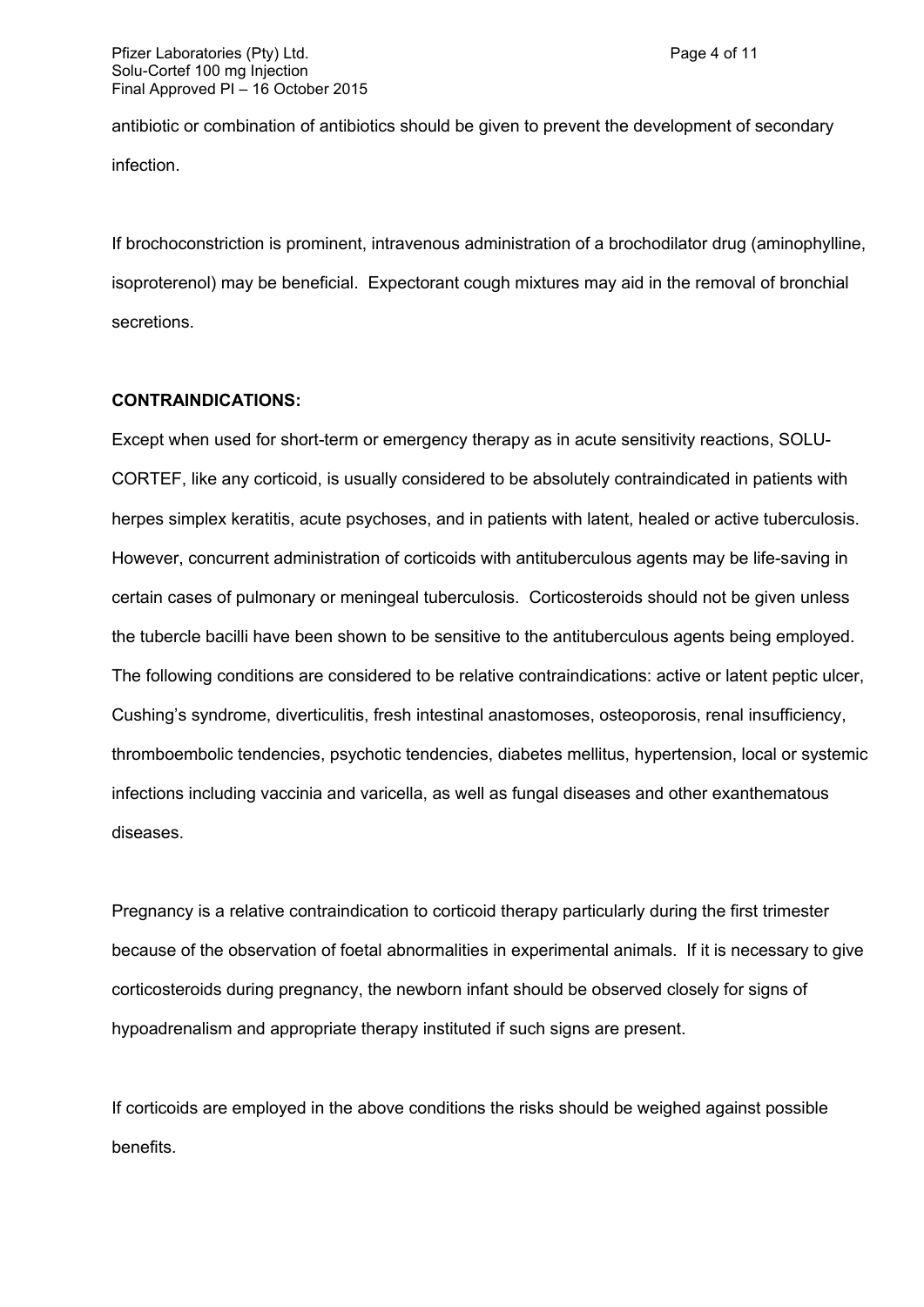antibiotic or combination of antibiotics should be given to prevent the development of secondary infection.

If brochoconstriction is prominent, intravenous administration of a brochodilator drug (aminophylline, isoproterenol) may be beneficial. Expectorant cough mixtures may aid in the removal of bronchial secretions.

### **CONTRAINDICATIONS:**

Except when used for short-term or emergency therapy as in acute sensitivity reactions, SOLU-CORTEF, like any corticoid, is usually considered to be absolutely contraindicated in patients with herpes simplex keratitis, acute psychoses, and in patients with latent, healed or active tuberculosis. However, concurrent administration of corticoids with antituberculous agents may be life-saving in certain cases of pulmonary or meningeal tuberculosis. Corticosteroids should not be given unless the tubercle bacilli have been shown to be sensitive to the antituberculous agents being employed. The following conditions are considered to be relative contraindications: active or latent peptic ulcer, Cushing's syndrome, diverticulitis, fresh intestinal anastomoses, osteoporosis, renal insufficiency, thromboembolic tendencies, psychotic tendencies, diabetes mellitus, hypertension, local or systemic infections including vaccinia and varicella, as well as fungal diseases and other exanthematous diseases.

Pregnancy is a relative contraindication to corticoid therapy particularly during the first trimester because of the observation of foetal abnormalities in experimental animals. If it is necessary to give corticosteroids during pregnancy, the newborn infant should be observed closely for signs of hypoadrenalism and appropriate therapy instituted if such signs are present.

If corticoids are employed in the above conditions the risks should be weighed against possible benefits.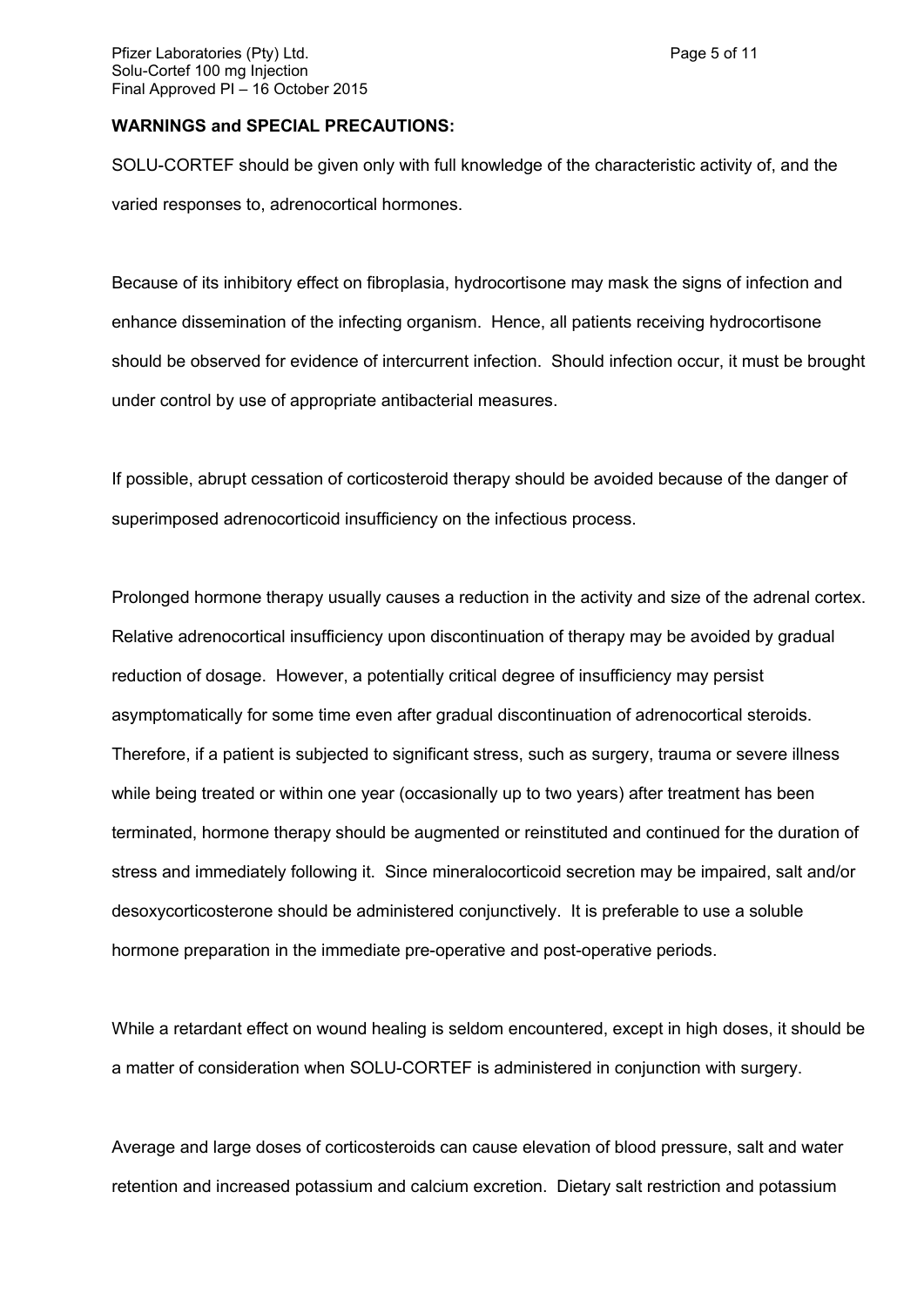#### **WARNINGS and SPECIAL PRECAUTIONS:**

SOLU-CORTEF should be given only with full knowledge of the characteristic activity of, and the varied responses to, adrenocortical hormones.

Because of its inhibitory effect on fibroplasia, hydrocortisone may mask the signs of infection and enhance dissemination of the infecting organism. Hence, all patients receiving hydrocortisone should be observed for evidence of intercurrent infection. Should infection occur, it must be brought under control by use of appropriate antibacterial measures.

If possible, abrupt cessation of corticosteroid therapy should be avoided because of the danger of superimposed adrenocorticoid insufficiency on the infectious process.

Prolonged hormone therapy usually causes a reduction in the activity and size of the adrenal cortex. Relative adrenocortical insufficiency upon discontinuation of therapy may be avoided by gradual reduction of dosage. However, a potentially critical degree of insufficiency may persist asymptomatically for some time even after gradual discontinuation of adrenocortical steroids. Therefore, if a patient is subjected to significant stress, such as surgery, trauma or severe illness while being treated or within one year (occasionally up to two years) after treatment has been terminated, hormone therapy should be augmented or reinstituted and continued for the duration of stress and immediately following it. Since mineralocorticoid secretion may be impaired, salt and/or desoxycorticosterone should be administered conjunctively. It is preferable to use a soluble hormone preparation in the immediate pre-operative and post-operative periods.

While a retardant effect on wound healing is seldom encountered, except in high doses, it should be a matter of consideration when SOLU-CORTEF is administered in conjunction with surgery.

Average and large doses of corticosteroids can cause elevation of blood pressure, salt and water retention and increased potassium and calcium excretion. Dietary salt restriction and potassium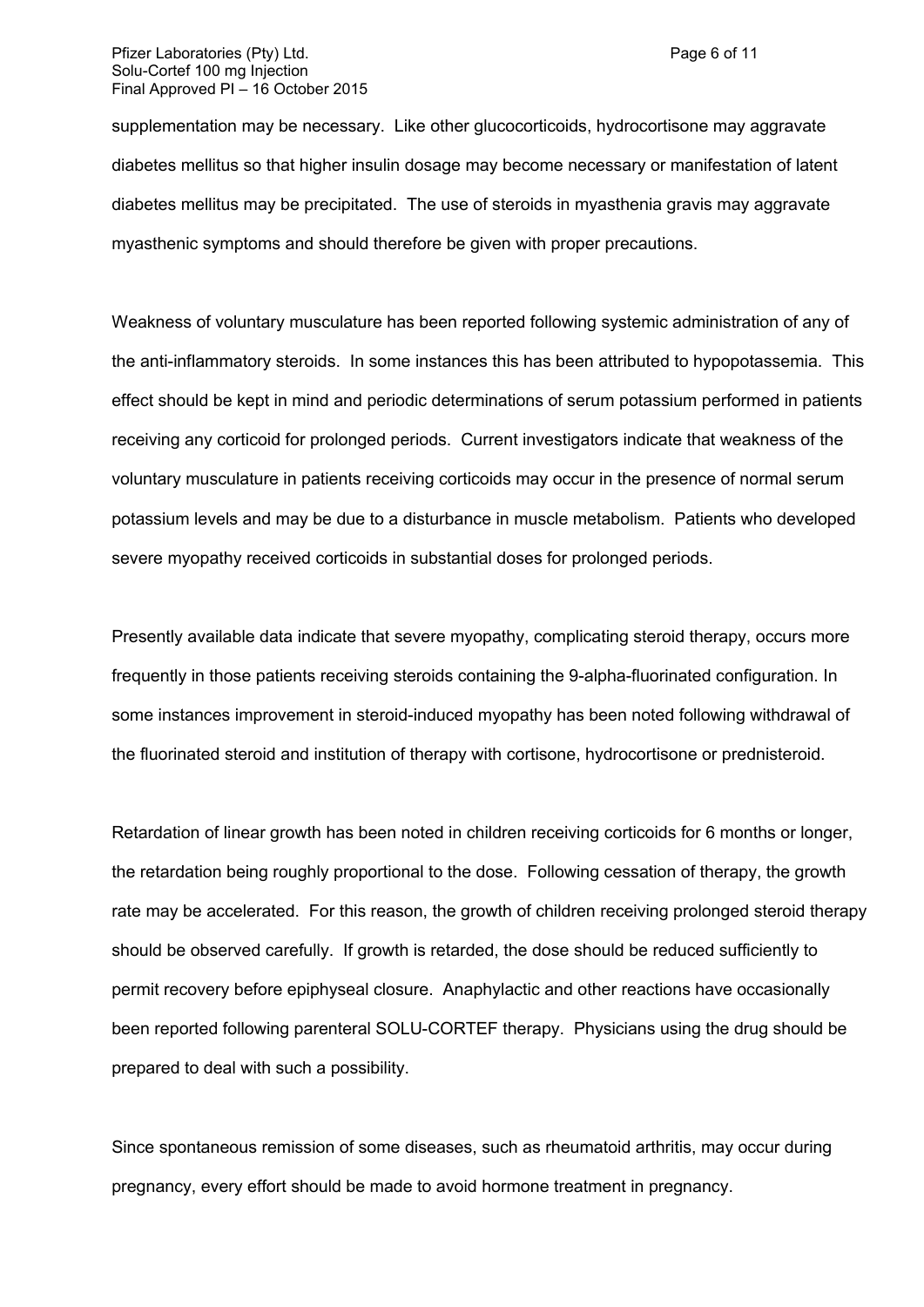supplementation may be necessary. Like other glucocorticoids, hydrocortisone may aggravate diabetes mellitus so that higher insulin dosage may become necessary or manifestation of latent diabetes mellitus may be precipitated. The use of steroids in myasthenia gravis may aggravate myasthenic symptoms and should therefore be given with proper precautions.

Weakness of voluntary musculature has been reported following systemic administration of any of the anti-inflammatory steroids. In some instances this has been attributed to hypopotassemia. This effect should be kept in mind and periodic determinations of serum potassium performed in patients receiving any corticoid for prolonged periods. Current investigators indicate that weakness of the voluntary musculature in patients receiving corticoids may occur in the presence of normal serum potassium levels and may be due to a disturbance in muscle metabolism. Patients who developed severe myopathy received corticoids in substantial doses for prolonged periods.

Presently available data indicate that severe myopathy, complicating steroid therapy, occurs more frequently in those patients receiving steroids containing the 9-alpha-fluorinated configuration. In some instances improvement in steroid-induced myopathy has been noted following withdrawal of the fluorinated steroid and institution of therapy with cortisone, hydrocortisone or prednisteroid.

Retardation of linear growth has been noted in children receiving corticoids for 6 months or longer, the retardation being roughly proportional to the dose. Following cessation of therapy, the growth rate may be accelerated. For this reason, the growth of children receiving prolonged steroid therapy should be observed carefully. If growth is retarded, the dose should be reduced sufficiently to permit recovery before epiphyseal closure. Anaphylactic and other reactions have occasionally been reported following parenteral SOLU-CORTEF therapy. Physicians using the drug should be prepared to deal with such a possibility.

Since spontaneous remission of some diseases, such as rheumatoid arthritis, may occur during pregnancy, every effort should be made to avoid hormone treatment in pregnancy.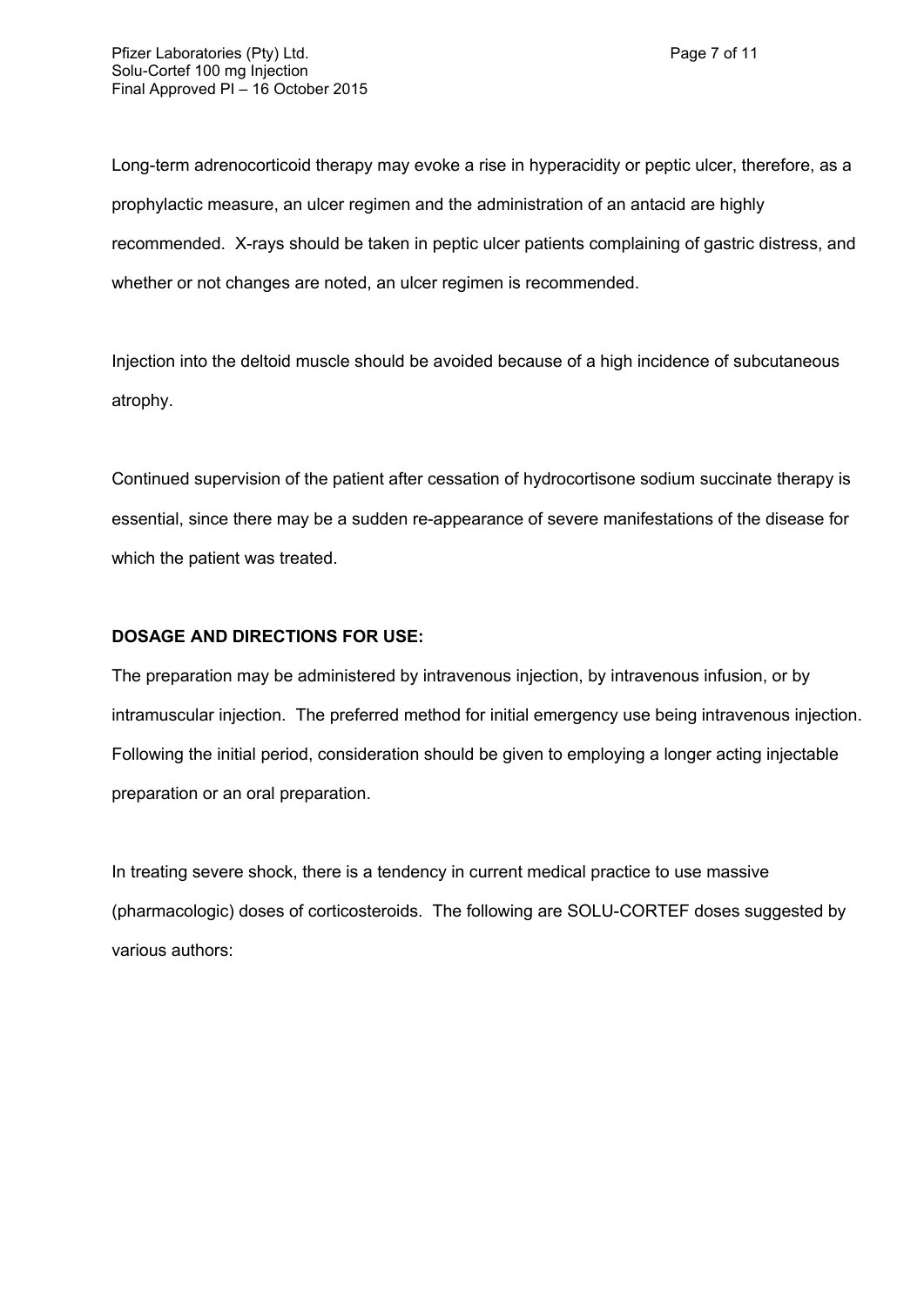Long-term adrenocorticoid therapy may evoke a rise in hyperacidity or peptic ulcer, therefore, as a prophylactic measure, an ulcer regimen and the administration of an antacid are highly recommended. X-rays should be taken in peptic ulcer patients complaining of gastric distress, and whether or not changes are noted, an ulcer regimen is recommended.

Injection into the deltoid muscle should be avoided because of a high incidence of subcutaneous atrophy.

Continued supervision of the patient after cessation of hydrocortisone sodium succinate therapy is essential, since there may be a sudden re-appearance of severe manifestations of the disease for which the patient was treated.

# **DOSAGE AND DIRECTIONS FOR USE:**

The preparation may be administered by intravenous injection, by intravenous infusion, or by intramuscular injection. The preferred method for initial emergency use being intravenous injection. Following the initial period, consideration should be given to employing a longer acting injectable preparation or an oral preparation.

In treating severe shock, there is a tendency in current medical practice to use massive (pharmacologic) doses of corticosteroids. The following are SOLU-CORTEF doses suggested by various authors: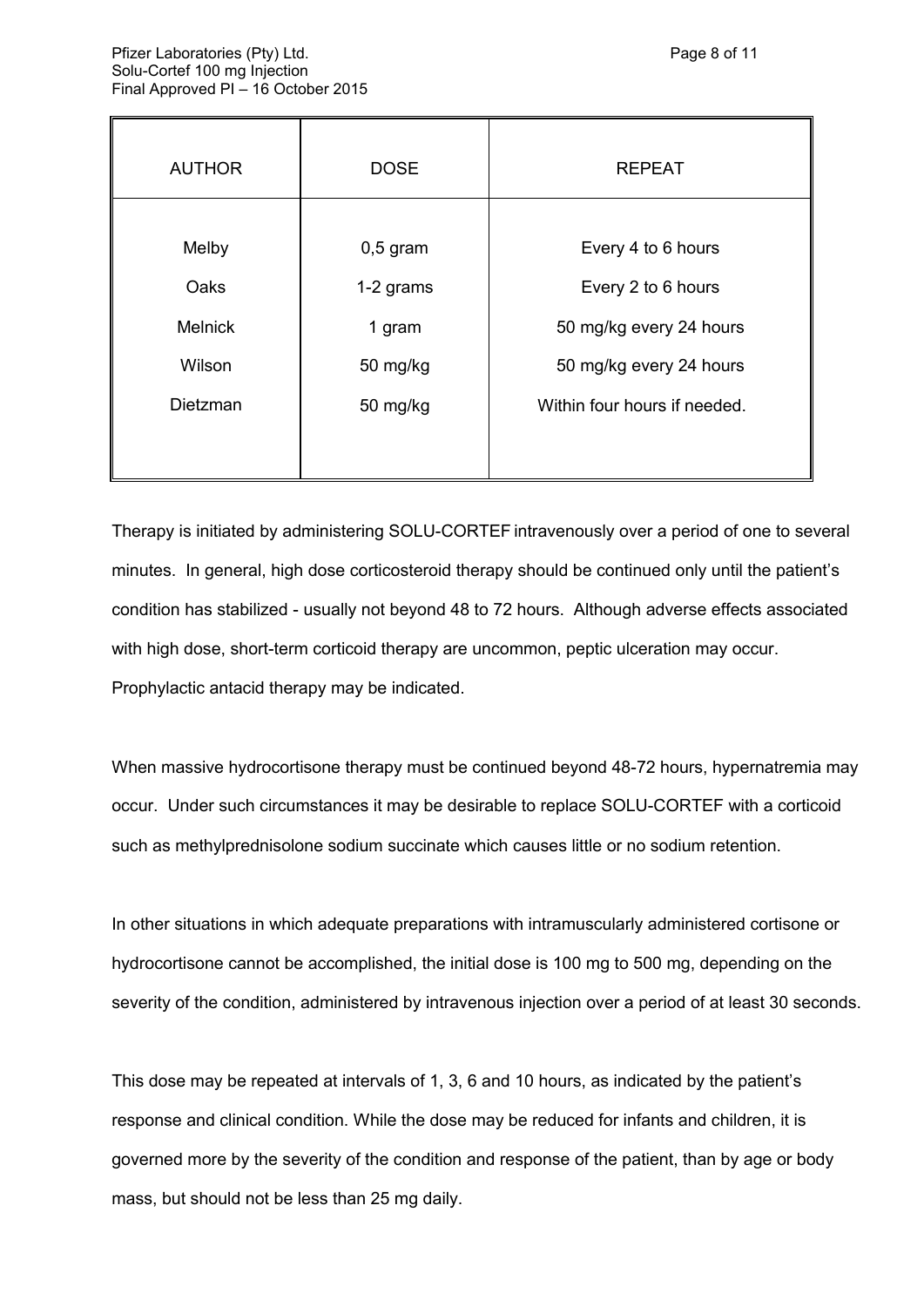| <b>AUTHOR</b>  | <b>DOSE</b> | <b>REPEAT</b>                |
|----------------|-------------|------------------------------|
|                |             |                              |
| Melby          | $0,5$ gram  | Every 4 to 6 hours           |
| Oaks           | 1-2 grams   | Every 2 to 6 hours           |
| <b>Melnick</b> | 1 gram      | 50 mg/kg every 24 hours      |
| Wilson         | 50 mg/kg    | 50 mg/kg every 24 hours      |
| Dietzman       | 50 mg/kg    | Within four hours if needed. |
|                |             |                              |
|                |             |                              |

Therapy is initiated by administering SOLU-CORTEF intravenously over a period of one to several minutes. In general, high dose corticosteroid therapy should be continued only until the patient's condition has stabilized - usually not beyond 48 to 72 hours. Although adverse effects associated with high dose, short-term corticoid therapy are uncommon, peptic ulceration may occur. Prophylactic antacid therapy may be indicated.

When massive hydrocortisone therapy must be continued beyond 48-72 hours, hypernatremia may occur. Under such circumstances it may be desirable to replace SOLU-CORTEF with a corticoid such as methylprednisolone sodium succinate which causes little or no sodium retention.

In other situations in which adequate preparations with intramuscularly administered cortisone or hydrocortisone cannot be accomplished, the initial dose is 100 mg to 500 mg, depending on the severity of the condition, administered by intravenous injection over a period of at least 30 seconds.

This dose may be repeated at intervals of 1, 3, 6 and 10 hours, as indicated by the patient's response and clinical condition. While the dose may be reduced for infants and children, it is governed more by the severity of the condition and response of the patient, than by age or body mass, but should not be less than 25 mg daily.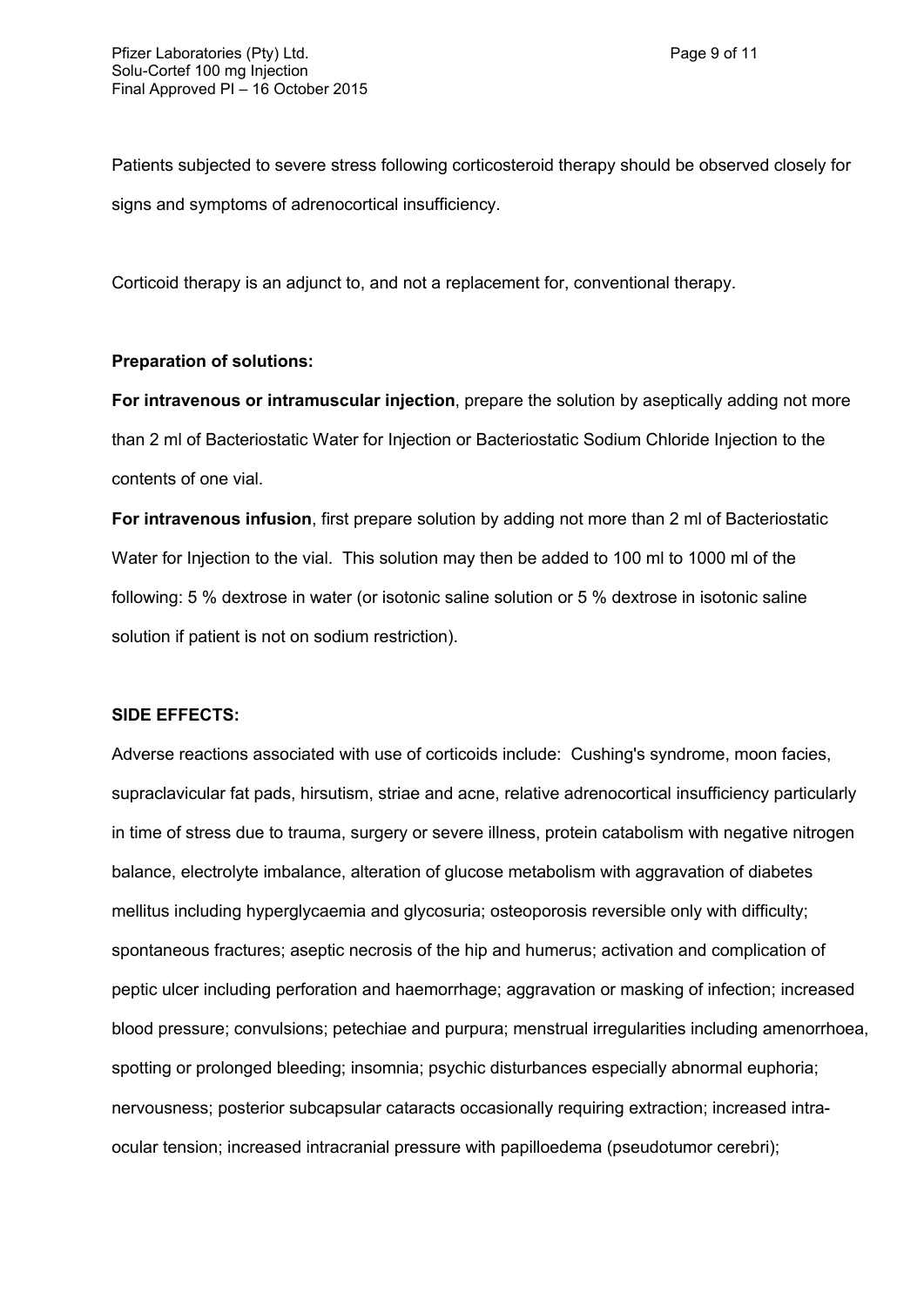Patients subjected to severe stress following corticosteroid therapy should be observed closely for signs and symptoms of adrenocortical insufficiency.

Corticoid therapy is an adjunct to, and not a replacement for, conventional therapy.

## **Preparation of solutions:**

**For intravenous or intramuscular injection**, prepare the solution by aseptically adding not more than 2 ml of Bacteriostatic Water for Injection or Bacteriostatic Sodium Chloride Injection to the contents of one vial.

**For intravenous infusion**, first prepare solution by adding not more than 2 ml of Bacteriostatic Water for Injection to the vial. This solution may then be added to 100 ml to 1000 ml of the following: 5 % dextrose in water (or isotonic saline solution or 5 % dextrose in isotonic saline solution if patient is not on sodium restriction).

### **SIDE EFFECTS:**

Adverse reactions associated with use of corticoids include: Cushing's syndrome, moon facies, supraclavicular fat pads, hirsutism, striae and acne, relative adrenocortical insufficiency particularly in time of stress due to trauma, surgery or severe illness, protein catabolism with negative nitrogen balance, electrolyte imbalance, alteration of glucose metabolism with aggravation of diabetes mellitus including hyperglycaemia and glycosuria; osteoporosis reversible only with difficulty; spontaneous fractures; aseptic necrosis of the hip and humerus; activation and complication of peptic ulcer including perforation and haemorrhage; aggravation or masking of infection; increased blood pressure; convulsions; petechiae and purpura; menstrual irregularities including amenorrhoea, spotting or prolonged bleeding; insomnia; psychic disturbances especially abnormal euphoria; nervousness; posterior subcapsular cataracts occasionally requiring extraction; increased intraocular tension; increased intracranial pressure with papilloedema (pseudotumor cerebri);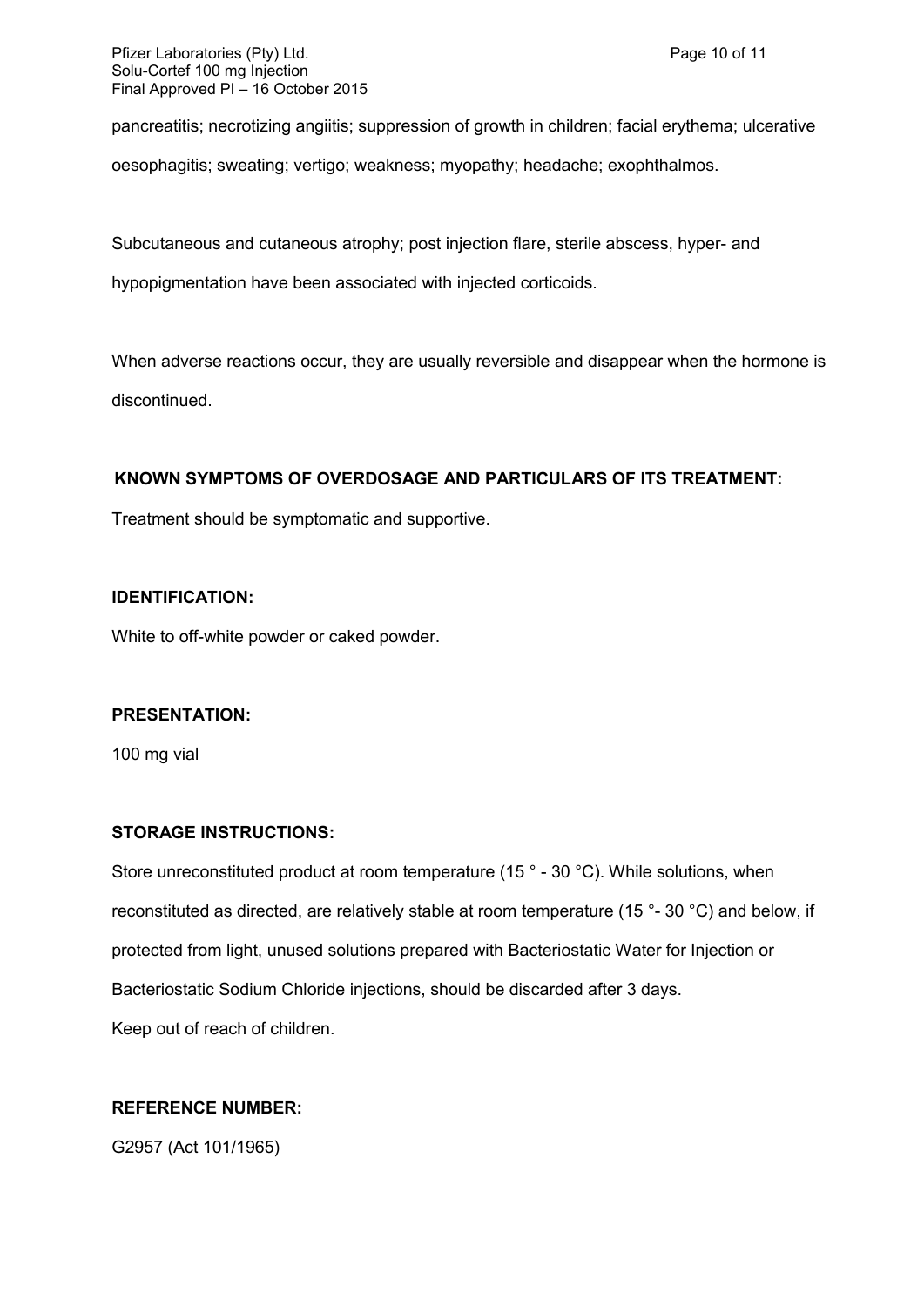Pfizer Laboratories (Pty) Ltd. Page 10 of 11 Solu-Cortef 100 mg Injection Final Approved PI – 16 October 2015

pancreatitis; necrotizing angiitis; suppression of growth in children; facial erythema; ulcerative oesophagitis; sweating; vertigo; weakness; myopathy; headache; exophthalmos.

Subcutaneous and cutaneous atrophy; post injection flare, sterile abscess, hyper- and

hypopigmentation have been associated with injected corticoids.

When adverse reactions occur, they are usually reversible and disappear when the hormone is discontinued.

## **KNOWN SYMPTOMS OF OVERDOSAGE AND PARTICULARS OF ITS TREATMENT:**

Treatment should be symptomatic and supportive.

### **IDENTIFICATION:**

White to off-white powder or caked powder.

### **PRESENTATION:**

100 mg vial

## **STORAGE INSTRUCTIONS:**

Store unreconstituted product at room temperature (15 ° - 30 °C). While solutions, when reconstituted as directed, are relatively stable at room temperature (15 °- 30 °C) and below, if protected from light, unused solutions prepared with Bacteriostatic Water for Injection or Bacteriostatic Sodium Chloride injections, should be discarded after 3 days. Keep out of reach of children.

## **REFERENCE NUMBER:**

G2957 (Act 101/1965)